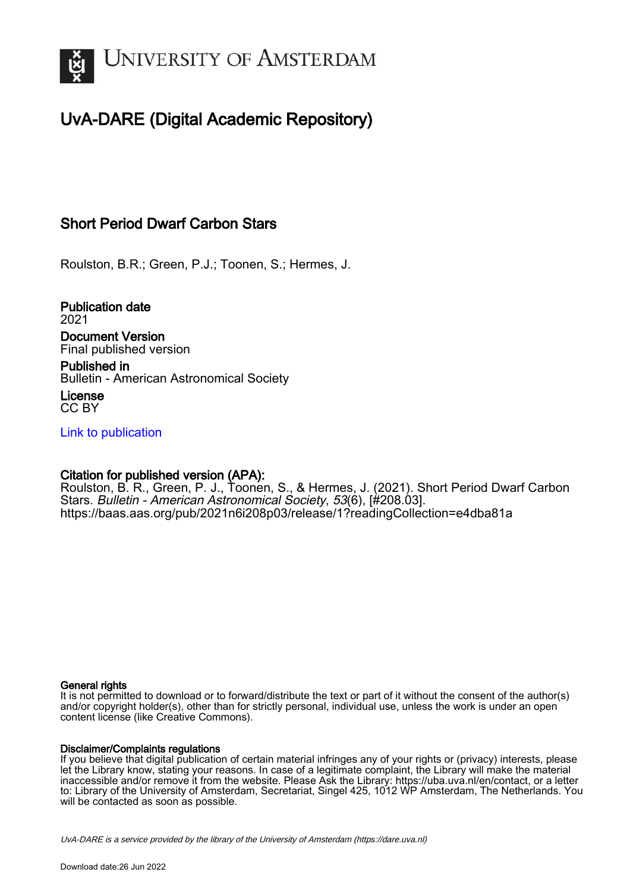

## UvA-DARE (Digital Academic Repository)

## Short Period Dwarf Carbon Stars

Roulston, B.R.; Green, P.J.; Toonen, S.; Hermes, J.

Publication date 2021 Document Version

Final published version

Published in Bulletin - American Astronomical Society

License CC BY

[Link to publication](https://dare.uva.nl/personal/pure/en/publications/short-period-dwarf-carbon-stars(d04e269c-dc1a-4b0b-bdba-adc7b317e180).html)

### Citation for published version (APA):

Roulston, B. R., Green, P. J., Toonen, S., & Hermes, J. (2021). Short Period Dwarf Carbon Stars. Bulletin - American Astronomical Society, 53(6), [#208.03]. <https://baas.aas.org/pub/2021n6i208p03/release/1?readingCollection=e4dba81a>

#### General rights

It is not permitted to download or to forward/distribute the text or part of it without the consent of the author(s) and/or copyright holder(s), other than for strictly personal, individual use, unless the work is under an open content license (like Creative Commons).

#### Disclaimer/Complaints regulations

If you believe that digital publication of certain material infringes any of your rights or (privacy) interests, please let the Library know, stating your reasons. In case of a legitimate complaint, the Library will make the material inaccessible and/or remove it from the website. Please Ask the Library: https://uba.uva.nl/en/contact, or a letter to: Library of the University of Amsterdam, Secretariat, Singel 425, 1012 WP Amsterdam, The Netherlands. You will be contacted as soon as possible.

UvA-DARE is a service provided by the library of the University of Amsterdam (http*s*://dare.uva.nl)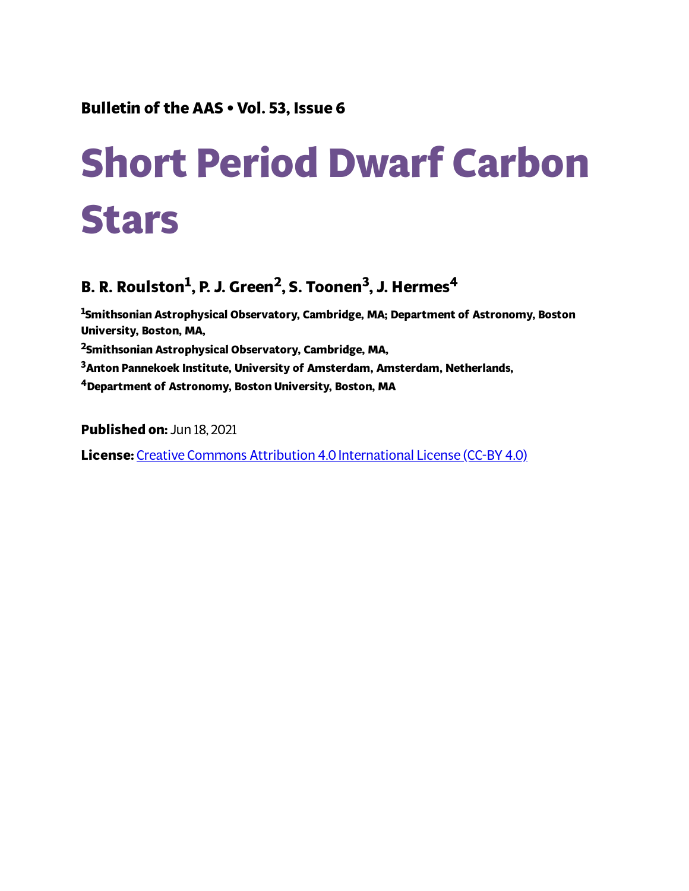# **Short Period Dwarf Carbon Stars**

# **B. R. Roulston 1 , P. J. Green 2 , S. Toonen 3 , J. Hermes 4**

**Smithsonian Astrophysical Observatory, Cambridge, MA; Department of Astronomy, Boston University, Boston, MA, Smithsonian Astrophysical Observatory, Cambridge, MA, Anton Pannekoek Institute, University of Amsterdam, Amsterdam, Netherlands, Department of Astronomy, Boston University, Boston, MA**

**Published on:** Jun 18, 2021 **License:** Creative Commons Attribution 4.0 [International](https://creativecommons.org/licenses/by/4.0/) License (CC-BY 4.0)